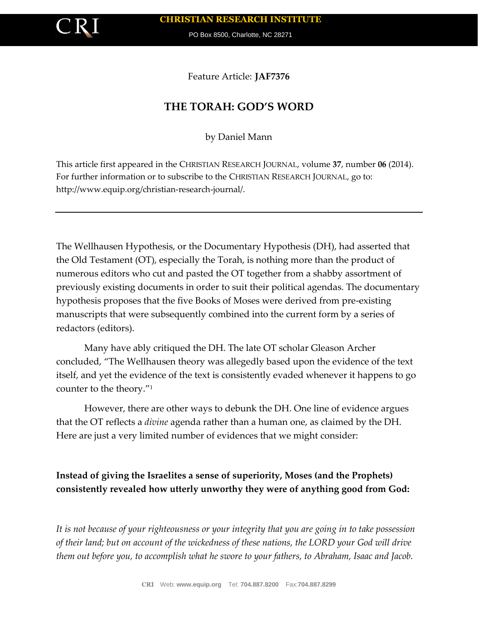

PO Box 8500, Charlotte, NC 28271

Feature Article: **JAF7376**

## **THE TORAH: GOD'S WORD**

by Daniel Mann

This article first appeared in the CHRISTIAN RESEARCH JOURNAL, volume **37**, number **06** (2014). For further information or to subscribe to the CHRISTIAN RESEARCH JOURNAL, go to: http://www.equip.org/christian-research-journal/.

The Wellhausen Hypothesis, or the Documentary Hypothesis (DH), had asserted that the Old Testament (OT), especially the Torah, is nothing more than the product of numerous editors who cut and pasted the OT together from a shabby assortment of previously existing documents in order to suit their political agendas. The documentary hypothesis proposes that the five Books of Moses were derived from pre-existing manuscripts that were subsequently combined into the current form by a series of redactors (editors).

Many have ably critiqued the DH. The late OT scholar Gleason Archer concluded, "The Wellhausen theory was allegedly based upon the evidence of the text itself, and yet the evidence of the text is consistently evaded whenever it happens to go counter to the theory."<sup>1</sup>

However, there are other ways to debunk the DH. One line of evidence argues that the OT reflects a *divine* agenda rather than a human one, as claimed by the DH. Here are just a very limited number of evidences that we might consider:

## **Instead of giving the Israelites a sense of superiority, Moses (and the Prophets) consistently revealed how utterly unworthy they were of anything good from God:**

*It is not because of your righteousness or your integrity that you are going in to take possession of their land; but on account of the wickedness of these nations, the LORD your God will drive them out before you, to accomplish what he swore to your fathers, to Abraham, Isaac and Jacob.*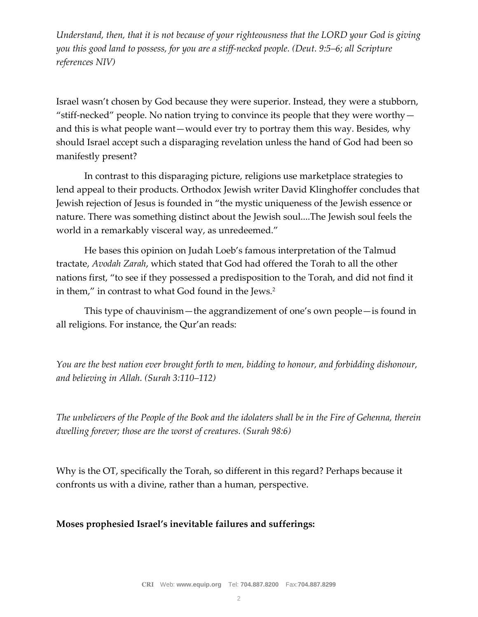*Understand, then, that it is not because of your righteousness that the LORD your God is giving you this good land to possess, for you are a stiff-necked people. (Deut. 9:5–6; all Scripture references NIV)*

Israel wasn't chosen by God because they were superior. Instead, they were a stubborn, "stiff-necked" people. No nation trying to convince its people that they were worthy  $$ and this is what people want—would ever try to portray them this way. Besides, why should Israel accept such a disparaging revelation unless the hand of God had been so manifestly present?

In contrast to this disparaging picture, religions use marketplace strategies to lend appeal to their products. Orthodox Jewish writer David Klinghoffer concludes that Jewish rejection of Jesus is founded in "the mystic uniqueness of the Jewish essence or nature. There was something distinct about the Jewish soul....The Jewish soul feels the world in a remarkably visceral way, as unredeemed."

He bases this opinion on Judah Loeb's famous interpretation of the Talmud tractate, *Avodah Zarah*, which stated that God had offered the Torah to all the other nations first, "to see if they possessed a predisposition to the Torah, and did not find it in them," in contrast to what God found in the Jews.<sup>2</sup>

This type of chauvinism—the aggrandizement of one's own people—is found in all religions. For instance, the Qur'an reads:

*You are the best nation ever brought forth to men, bidding to honour, and forbidding dishonour, and believing in Allah. (Surah 3:110–112)*

*The unbelievers of the People of the Book and the idolaters shall be in the Fire of Gehenna, therein dwelling forever; those are the worst of creatures. (Surah 98:6)*

Why is the OT, specifically the Torah, so different in this regard? Perhaps because it confronts us with a divine, rather than a human, perspective.

## **Moses prophesied Israel's inevitable failures and sufferings:**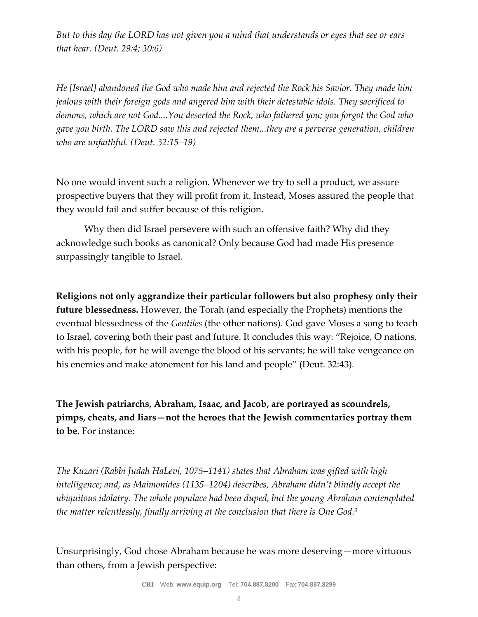*But to this day the LORD has not given you a mind that understands or eyes that see or ears that hear. (Deut. 29:4; 30:6)*

*He [Israel] abandoned the God who made him and rejected the Rock his Savior. They made him jealous with their foreign gods and angered him with their detestable idols. They sacrificed to demons, which are not God....You deserted the Rock, who fathered you; you forgot the God who gave you birth. The LORD saw this and rejected them...they are a perverse generation, children who are unfaithful. (Deut. 32:15–19)*

No one would invent such a religion. Whenever we try to sell a product, we assure prospective buyers that they will profit from it. Instead, Moses assured the people that they would fail and suffer because of this religion.

Why then did Israel persevere with such an offensive faith? Why did they acknowledge such books as canonical? Only because God had made His presence surpassingly tangible to Israel.

**Religions not only aggrandize their particular followers but also prophesy only their future blessedness.** However, the Torah (and especially the Prophets) mentions the eventual blessedness of the *Gentiles* (the other nations). God gave Moses a song to teach to Israel, covering both their past and future. It concludes this way: "Rejoice, O nations, with his people, for he will avenge the blood of his servants; he will take vengeance on his enemies and make atonement for his land and people" (Deut. 32:43).

**The Jewish patriarchs, Abraham, Isaac, and Jacob, are portrayed as scoundrels, pimps, cheats, and liars—not the heroes that the Jewish commentaries portray them to be.** For instance:

*The Kuzari (Rabbi Judah HaLevi, 1075–1141) states that Abraham was gifted with high intelligence; and, as Maimonides (1135–1204) describes, Abraham didn't blindly accept the ubiquitous idolatry. The whole populace had been duped, but the young Abraham contemplated the matter relentlessly, finally arriving at the conclusion that there is One God.<sup>3</sup>*

Unsurprisingly, God chose Abraham because he was more deserving—more virtuous than others, from a Jewish perspective: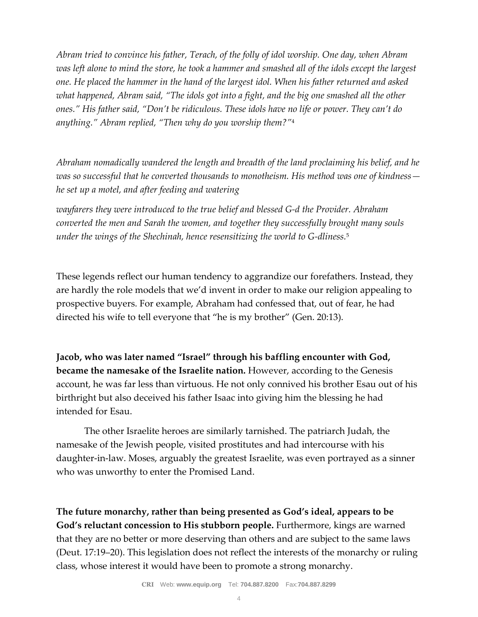*Abram tried to convince his father, Terach, of the folly of idol worship. One day, when Abram*  was left alone to mind the store, he took a hammer and smashed all of the idols except the largest *one. He placed the hammer in the hand of the largest idol. When his father returned and asked what happened, Abram said, "The idols got into a fight, and the big one smashed all the other ones." His father said, "Don't be ridiculous. These idols have no life or power. They can't do anything." Abram replied, "Then why do you worship them?"*<sup>4</sup>

*Abraham nomadically wandered the length and breadth of the land proclaiming his belief, and he was so successful that he converted thousands to monotheism. His method was one of kindness he set up a motel, and after feeding and watering*

*wayfarers they were introduced to the true belief and blessed G-d the Provider. Abraham converted the men and Sarah the women, and together they successfully brought many souls under the wings of the Shechinah, hence resensitizing the world to G-dliness.*<sup>5</sup>

These legends reflect our human tendency to aggrandize our forefathers. Instead, they are hardly the role models that we'd invent in order to make our religion appealing to prospective buyers. For example, Abraham had confessed that, out of fear, he had directed his wife to tell everyone that "he is my brother" (Gen. 20:13).

**Jacob, who was later named "Israel" through his baffling encounter with God, became the namesake of the Israelite nation.** However, according to the Genesis account, he was far less than virtuous. He not only connived his brother Esau out of his birthright but also deceived his father Isaac into giving him the blessing he had intended for Esau.

The other Israelite heroes are similarly tarnished. The patriarch Judah, the namesake of the Jewish people, visited prostitutes and had intercourse with his daughter-in-law. Moses, arguably the greatest Israelite, was even portrayed as a sinner who was unworthy to enter the Promised Land.

**The future monarchy, rather than being presented as God's ideal, appears to be God's reluctant concession to His stubborn people.** Furthermore, kings are warned that they are no better or more deserving than others and are subject to the same laws (Deut. 17:19–20). This legislation does not reflect the interests of the monarchy or ruling class, whose interest it would have been to promote a strong monarchy.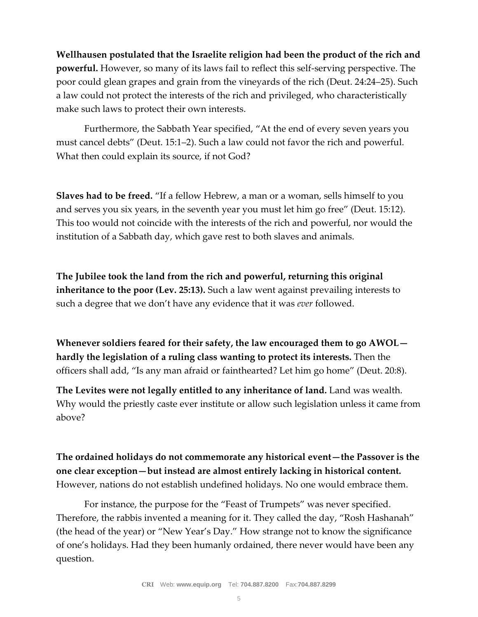**Wellhausen postulated that the Israelite religion had been the product of the rich and powerful.** However, so many of its laws fail to reflect this self-serving perspective. The poor could glean grapes and grain from the vineyards of the rich (Deut. 24:24–25). Such a law could not protect the interests of the rich and privileged, who characteristically make such laws to protect their own interests.

Furthermore, the Sabbath Year specified, "At the end of every seven years you must cancel debts" (Deut. 15:1–2). Such a law could not favor the rich and powerful. What then could explain its source, if not God?

**Slaves had to be freed.** "If a fellow Hebrew, a man or a woman, sells himself to you and serves you six years, in the seventh year you must let him go free" (Deut. 15:12). This too would not coincide with the interests of the rich and powerful, nor would the institution of a Sabbath day, which gave rest to both slaves and animals.

**The Jubilee took the land from the rich and powerful, returning this original inheritance to the poor (Lev. 25:13).** Such a law went against prevailing interests to such a degree that we don't have any evidence that it was *ever* followed.

**Whenever soldiers feared for their safety, the law encouraged them to go AWOL hardly the legislation of a ruling class wanting to protect its interests.** Then the officers shall add, "Is any man afraid or fainthearted? Let him go home" (Deut. 20:8).

**The Levites were not legally entitled to any inheritance of land.** Land was wealth. Why would the priestly caste ever institute or allow such legislation unless it came from above?

**The ordained holidays do not commemorate any historical event—the Passover is the one clear exception—but instead are almost entirely lacking in historical content.** However, nations do not establish undefined holidays. No one would embrace them.

For instance, the purpose for the "Feast of Trumpets" was never specified. Therefore, the rabbis invented a meaning for it. They called the day, "Rosh Hashanah" (the head of the year) or "New Year's Day." How strange not to know the significance of one's holidays. Had they been humanly ordained, there never would have been any question.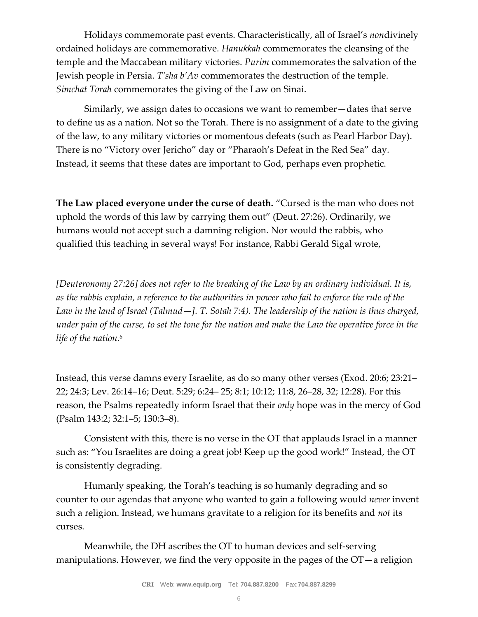Holidays commemorate past events. Characteristically, all of Israel's *non*divinely ordained holidays are commemorative. *Hanukkah* commemorates the cleansing of the temple and the Maccabean military victories. *Purim* commemorates the salvation of the Jewish people in Persia. *T'sha b'Av* commemorates the destruction of the temple. *Simchat Torah* commemorates the giving of the Law on Sinai.

Similarly, we assign dates to occasions we want to remember—dates that serve to define us as a nation. Not so the Torah. There is no assignment of a date to the giving of the law, to any military victories or momentous defeats (such as Pearl Harbor Day). There is no "Victory over Jericho" day or "Pharaoh's Defeat in the Red Sea" day. Instead, it seems that these dates are important to God, perhaps even prophetic.

**The Law placed everyone under the curse of death.** "Cursed is the man who does not uphold the words of this law by carrying them out" (Deut. 27:26). Ordinarily, we humans would not accept such a damning religion. Nor would the rabbis, who qualified this teaching in several ways! For instance, Rabbi Gerald Sigal wrote,

*[Deuteronomy 27:26] does not refer to the breaking of the Law by an ordinary individual. It is, as the rabbis explain, a reference to the authorities in power who fail to enforce the rule of the Law in the land of Israel (Talmud—J. T. Sotah 7:4). The leadership of the nation is thus charged, under pain of the curse, to set the tone for the nation and make the Law the operative force in the life of the nation.*<sup>6</sup>

Instead, this verse damns every Israelite, as do so many other verses (Exod. 20:6; 23:21– 22; 24:3; Lev. 26:14–16; Deut. 5:29; 6:24– 25; 8:1; 10:12; 11:8, 26–28, 32; 12:28). For this reason, the Psalms repeatedly inform Israel that their *only* hope was in the mercy of God (Psalm 143:2; 32:1–5; 130:3–8).

Consistent with this, there is no verse in the OT that applauds Israel in a manner such as: "You Israelites are doing a great job! Keep up the good work!" Instead, the OT is consistently degrading.

Humanly speaking, the Torah's teaching is so humanly degrading and so counter to our agendas that anyone who wanted to gain a following would *never* invent such a religion. Instead, we humans gravitate to a religion for its benefits and *not* its curses.

Meanwhile, the DH ascribes the OT to human devices and self-serving manipulations. However, we find the very opposite in the pages of the  $OT-a$  religion